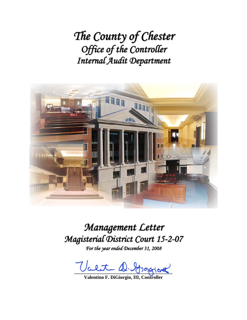*The County of Chester Office of the Controller Internal Audit Department*



*Management Letter Magisterial District Court 15-2-07*

*For the year ended December 31, 2008*

Valit D. Grapiot

**Valentino F. DiGiorgio, III, Controller**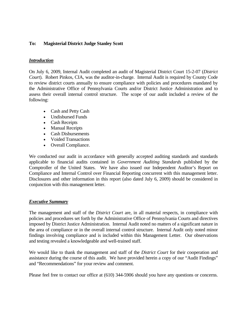### **To: Magisterial District Judge Stanley Scott**

### *Introduction*

On July 6, 2009, Internal Audit completed an audit of Magisterial District Court 15-2-07 (*District Court*). Robert Pinkos, CIA, was the auditor-in-charge. Internal Audit is required by County Code to review district courts annually to ensure compliance with policies and procedures mandated by the Administrative Office of Pennsylvania Courts and/or District Justice Administration and to assess their overall internal control structure. The scope of our audit included a review of the following:

- Cash and Petty Cash
- Undisbursed Funds
- Cash Receipts
- Manual Receipts
- Cash Disbursements
- Voided Transactions
- Overall Compliance.

We conducted our audit in accordance with generally accepted auditing standards and standards applicable to financial audits contained in *Government Auditing Standards* published by the Comptroller of the United States. We have also issued our Independent Auditor's Report on Compliance and Internal Control over Financial Reporting concurrent with this management letter. Disclosures and other information in this report (also dated July 6, 2009) should be considered in conjunction with this management letter.

### *Executive Summary*

The management and staff of the *District Court* are, in all material respects, in compliance with policies and procedures set forth by the Administrative Office of Pennsylvania Courts and directives imposed by District Justice Administration. Internal Audit noted no matters of a significant nature in the area of compliance or in the overall internal control structure. Internal Audit only noted minor findings involving compliance and is included within this Management Letter. Our observations and testing revealed a knowledgeable and well-trained staff.

We would like to thank the management and staff of the *District Court* for their cooperation and assistance during the course of this audit. We have provided herein a copy of our "Audit Findings" and "Recommendations" for your review and comment.

Please feel free to contact our office at (610) 344-5906 should you have any questions or concerns.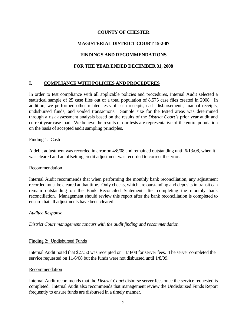# **MAGISTERIAL DISTRICT COURT 15-2-07**

# **FINDINGS AND RECOMMENDATIONS**

## **FOR THE YEAR ENDED DECEMBER 31, 2008**

# **I. COMPLIANCE WITH POLICIES AND PROCEDURES**

In order to test compliance with all applicable policies and procedures, Internal Audit selected a statistical sample of 25 case files out of a total population of 8,575 case files created in 2008. In addition, we performed other related tests of cash receipts, cash disbursements, manual receipts, undisbursed funds, and voided transactions. Sample size for the tested areas was determined through a risk assessment analysis based on the results of the *District Court's* prior year audit and current year case load. We believe the results of our tests are representative of the entire population on the basis of accepted audit sampling principles.

### Finding 1: Cash

A debit adjustment was recorded in error on 4/8/08 and remained outstanding until 6/13/08, when it was cleared and an offsetting credit adjustment was recorded to correct the error.

### Recommendation

Internal Audit recommends that when performing the monthly bank reconciliation, any adjustment recorded must be cleared at that time. Only checks, which are outstanding and deposits in transit can remain outstanding on the Bank Reconciled Statement after completing the monthly bank reconciliation. Management should review this report after the bank reconciliation is completed to ensure that all adjustments have been cleared.

### *Auditee Response*

*District Court management concurs with the audit finding and recommendation.* 

### Finding 2: Undisbursed Funds

Internal Audit noted that \$27.50 was receipted on 11/3/08 for server fees. The server completed the service requested on 11/6/08 but the funds were not disbursed until 1/8/09.

### Recommendation

Internal Audit recommends that the *District Court* disburse server fees once the service requested is completed. Internal Audit also recommends that management review the Undisbursed Funds Report frequently to ensure funds are disbursed in a timely manner.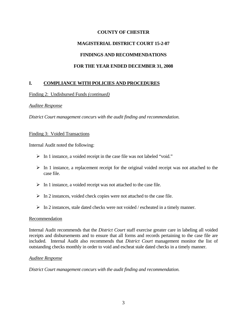## **MAGISTERIAL DISTRICT COURT 15-2-07**

## **FINDINGS AND RECOMMENDATIONS**

## **FOR THE YEAR ENDED DECEMBER 31, 2008**

## **I. COMPLIANCE WITH POLICIES AND PROCEDURES**

### Finding 2: Undisbursed Funds *(continued)*

### *Auditee Response*

*District Court management concurs with the audit finding and recommendation.* 

#### Finding 3: Voided Transactions

Internal Audit noted the following:

- ¾ In 1 instance, a voided receipt in the case file was not labeled "void."
- $\triangleright$  In 1 instance, a replacement receipt for the original voided receipt was not attached to the case file.
- $\triangleright$  In 1 instance, a voided receipt was not attached to the case file.
- $\triangleright$  In 2 instances, voided check copies were not attached to the case file.
- $\triangleright$  In 2 instances, stale dated checks were not voided / escheated in a timely manner.

### Recommendation

Internal Audit recommends that the *District Court* staff exercise greater care in labeling all voided receipts and disbursements and to ensure that all forms and records pertaining to the case file are included. Internal Audit also recommends that *District Court* management monitor the list of outstanding checks monthly in order to void and escheat stale dated checks in a timely manner.

### *Auditee Response*

*District Court management concurs with the audit finding and recommendation.*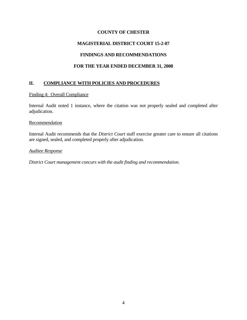# **MAGISTERIAL DISTRICT COURT 15-2-07**

## **FINDINGS AND RECOMMENDATIONS**

# **FOR THE YEAR ENDED DECEMBER 31, 2008**

# **II. COMPLIANCE WITH POLICIES AND PROCEDURES**

### Finding 4: Overall Compliance

Internal Audit noted 1 instance, where the citation was not properly sealed and completed after adjudication.

#### **Recommendation**

Internal Audit recommends that the *District Court* staff exercise greater care to ensure all citations are signed, sealed, and completed properly after adjudication.

### *Auditee Response*

*District Court management concurs with the audit finding and recommendation.*